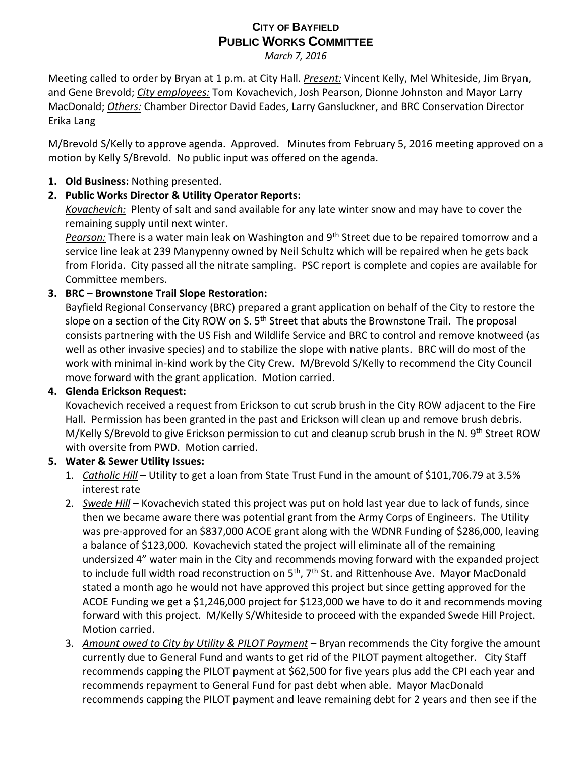# **CITY OF BAYFIELD PUBLIC WORKS COMMITTEE**

*March 7, 2016*

Meeting called to order by Bryan at 1 p.m. at City Hall. *Present:* Vincent Kelly, Mel Whiteside, Jim Bryan, and Gene Brevold; *City employees:* Tom Kovachevich, Josh Pearson, Dionne Johnston and Mayor Larry MacDonald; *Others:* Chamber Director David Eades, Larry Gansluckner, and BRC Conservation Director Erika Lang

M/Brevold S/Kelly to approve agenda. Approved. Minutes from February 5, 2016 meeting approved on a motion by Kelly S/Brevold. No public input was offered on the agenda.

### **1. Old Business:** Nothing presented.

## **2. Public Works Director & Utility Operator Reports:**

*Kovachevich:* Plenty of salt and sand available for any late winter snow and may have to cover the remaining supply until next winter.

*Pearson:* There is a water main leak on Washington and 9th Street due to be repaired tomorrow and a service line leak at 239 Manypenny owned by Neil Schultz which will be repaired when he gets back from Florida. City passed all the nitrate sampling. PSC report is complete and copies are available for Committee members.

## **3. BRC – Brownstone Trail Slope Restoration:**

Bayfield Regional Conservancy (BRC) prepared a grant application on behalf of the City to restore the slope on a section of the City ROW on S.  $5<sup>th</sup>$  Street that abuts the Brownstone Trail. The proposal consists partnering with the US Fish and Wildlife Service and BRC to control and remove knotweed (as well as other invasive species) and to stabilize the slope with native plants. BRC will do most of the work with minimal in-kind work by the City Crew. M/Brevold S/Kelly to recommend the City Council move forward with the grant application. Motion carried.

#### **4. Glenda Erickson Request:**

Kovachevich received a request from Erickson to cut scrub brush in the City ROW adjacent to the Fire Hall. Permission has been granted in the past and Erickson will clean up and remove brush debris. M/Kelly S/Brevold to give Erickson permission to cut and cleanup scrub brush in the N. 9<sup>th</sup> Street ROW with oversite from PWD. Motion carried.

#### **5. Water & Sewer Utility Issues:**

- 1. *Catholic Hill* Utility to get a loan from State Trust Fund in the amount of \$101,706.79 at 3.5% interest rate
- 2. *Swede Hill* Kovachevich stated this project was put on hold last year due to lack of funds, since then we became aware there was potential grant from the Army Corps of Engineers. The Utility was pre-approved for an \$837,000 ACOE grant along with the WDNR Funding of \$286,000, leaving a balance of \$123,000. Kovachevich stated the project will eliminate all of the remaining undersized 4" water main in the City and recommends moving forward with the expanded project to include full width road reconstruction on 5<sup>th</sup>, 7<sup>th</sup> St. and Rittenhouse Ave. Mayor MacDonald stated a month ago he would not have approved this project but since getting approved for the ACOE Funding we get a \$1,246,000 project for \$123,000 we have to do it and recommends moving forward with this project. M/Kelly S/Whiteside to proceed with the expanded Swede Hill Project. Motion carried.
- 3. *Amount owed to City by Utility & PILOT Payment* Bryan recommends the City forgive the amount currently due to General Fund and wants to get rid of the PILOT payment altogether. City Staff recommends capping the PILOT payment at \$62,500 for five years plus add the CPI each year and recommends repayment to General Fund for past debt when able. Mayor MacDonald recommends capping the PILOT payment and leave remaining debt for 2 years and then see if the